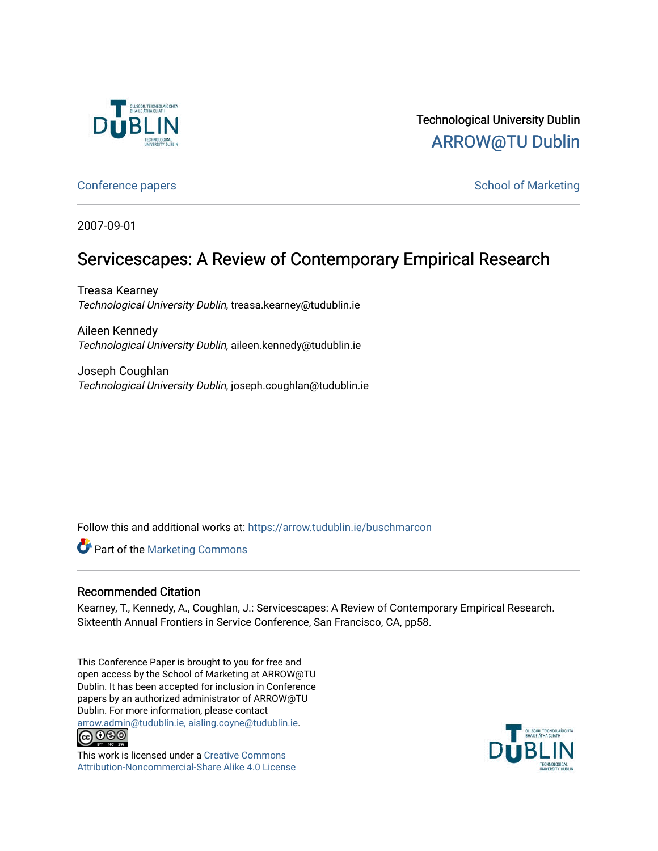

# Technological University Dublin [ARROW@TU Dublin](https://arrow.tudublin.ie/)

[Conference papers](https://arrow.tudublin.ie/buschmarcon) **School of Marketing** Conference papers **School of Marketing** 

2007-09-01

# Servicescapes: A Review of Contemporary Empirical Research

Treasa Kearney Technological University Dublin, treasa.kearney@tudublin.ie

Aileen Kennedy Technological University Dublin, aileen.kennedy@tudublin.ie

Joseph Coughlan Technological University Dublin, joseph.coughlan@tudublin.ie

Follow this and additional works at: [https://arrow.tudublin.ie/buschmarcon](https://arrow.tudublin.ie/buschmarcon?utm_source=arrow.tudublin.ie%2Fbuschmarcon%2F4&utm_medium=PDF&utm_campaign=PDFCoverPages) 

**Part of the [Marketing Commons](http://network.bepress.com/hgg/discipline/638?utm_source=arrow.tudublin.ie%2Fbuschmarcon%2F4&utm_medium=PDF&utm_campaign=PDFCoverPages)** 

#### Recommended Citation

Kearney, T., Kennedy, A., Coughlan, J.: Servicescapes: A Review of Contemporary Empirical Research. Sixteenth Annual Frontiers in Service Conference, San Francisco, CA, pp58.

This Conference Paper is brought to you for free and open access by the School of Marketing at ARROW@TU Dublin. It has been accepted for inclusion in Conference papers by an authorized administrator of ARROW@TU Dublin. For more information, please contact [arrow.admin@tudublin.ie, aisling.coyne@tudublin.ie](mailto:arrow.admin@tudublin.ie,%20aisling.coyne@tudublin.ie).<br>COOO



This work is licensed under a [Creative Commons](http://creativecommons.org/licenses/by-nc-sa/4.0/) [Attribution-Noncommercial-Share Alike 4.0 License](http://creativecommons.org/licenses/by-nc-sa/4.0/)

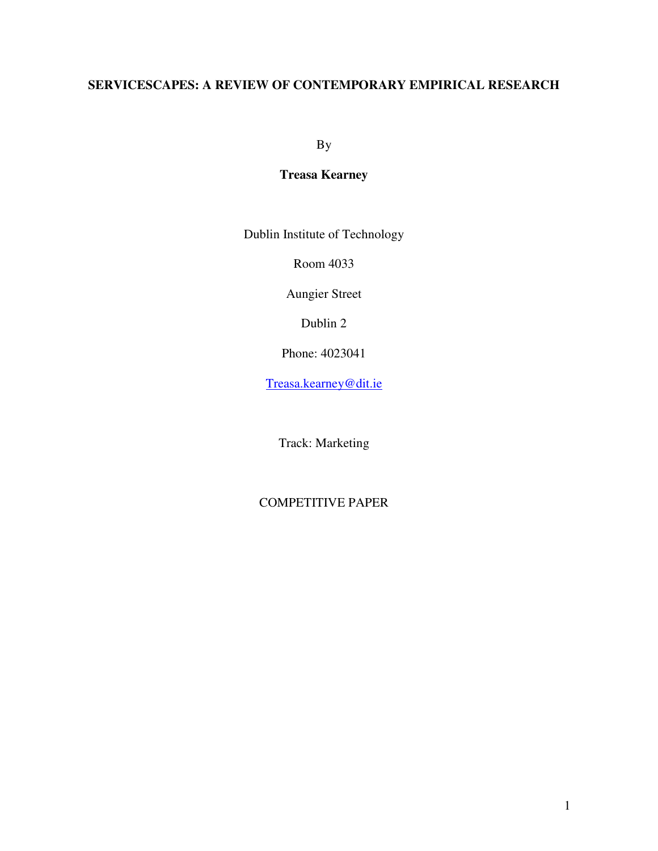# **SERVICESCAPES: A REVIEW OF CONTEMPORARY EMPIRICAL RESEARCH**

By

## **Treasa Kearney**

Dublin Institute of Technology

Room 4033

Aungier Street

Dublin 2

Phone: 4023041

Treasa.kearney@dit.ie

Track: Marketing

## COMPETITIVE PAPER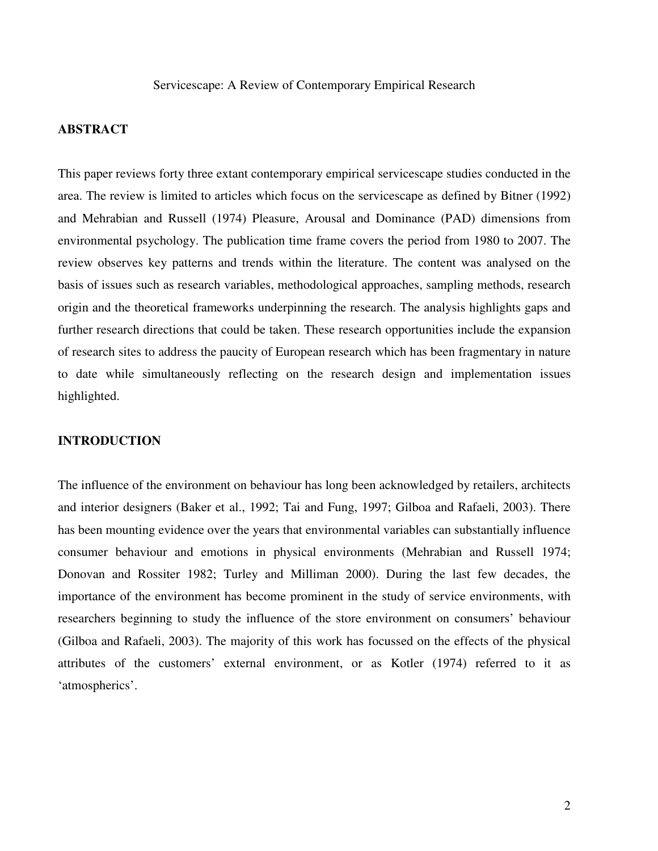### **ABSTRACT**

This paper reviews forty three extant contemporary empirical servicescape studies conducted in the area. The review is limited to articles which focus on the servicescape as defined by Bitner (1992) and Mehrabian and Russell (1974) Pleasure, Arousal and Dominance (PAD) dimensions from environmental psychology. The publication time frame covers the period from 1980 to 2007. The review observes key patterns and trends within the literature. The content was analysed on the basis of issues such as research variables, methodological approaches, sampling methods, research origin and the theoretical frameworks underpinning the research. The analysis highlights gaps and further research directions that could be taken. These research opportunities include the expansion of research sites to address the paucity of European research which has been fragmentary in nature to date while simultaneously reflecting on the research design and implementation issues highlighted.

#### **INTRODUCTION**

The influence of the environment on behaviour has long been acknowledged by retailers, architects and interior designers (Baker et al., 1992; Tai and Fung, 1997; Gilboa and Rafaeli, 2003). There has been mounting evidence over the years that environmental variables can substantially influence consumer behaviour and emotions in physical environments (Mehrabian and Russell 1974; Donovan and Rossiter 1982; Turley and Milliman 2000). During the last few decades, the importance of the environment has become prominent in the study of service environments, with researchers beginning to study the influence of the store environment on consumers' behaviour (Gilboa and Rafaeli, 2003). The majority of this work has focussed on the effects of the physical attributes of the customers' external environment, or as Kotler (1974) referred to it as 'atmospherics'.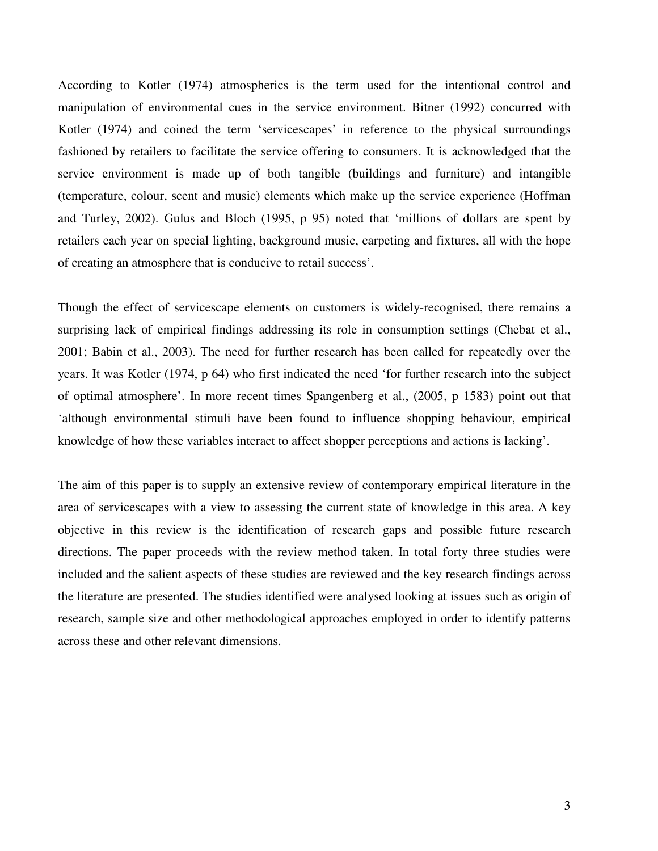According to Kotler (1974) atmospherics is the term used for the intentional control and manipulation of environmental cues in the service environment. Bitner (1992) concurred with Kotler (1974) and coined the term 'servicescapes' in reference to the physical surroundings fashioned by retailers to facilitate the service offering to consumers. It is acknowledged that the service environment is made up of both tangible (buildings and furniture) and intangible (temperature, colour, scent and music) elements which make up the service experience (Hoffman and Turley, 2002). Gulus and Bloch (1995, p 95) noted that 'millions of dollars are spent by retailers each year on special lighting, background music, carpeting and fixtures, all with the hope of creating an atmosphere that is conducive to retail success'.

Though the effect of servicescape elements on customers is widely-recognised, there remains a surprising lack of empirical findings addressing its role in consumption settings (Chebat et al., 2001; Babin et al., 2003). The need for further research has been called for repeatedly over the years. It was Kotler (1974, p 64) who first indicated the need 'for further research into the subject of optimal atmosphere'. In more recent times Spangenberg et al., (2005, p 1583) point out that 'although environmental stimuli have been found to influence shopping behaviour, empirical knowledge of how these variables interact to affect shopper perceptions and actions is lacking'.

The aim of this paper is to supply an extensive review of contemporary empirical literature in the area of servicescapes with a view to assessing the current state of knowledge in this area. A key objective in this review is the identification of research gaps and possible future research directions. The paper proceeds with the review method taken. In total forty three studies were included and the salient aspects of these studies are reviewed and the key research findings across the literature are presented. The studies identified were analysed looking at issues such as origin of research, sample size and other methodological approaches employed in order to identify patterns across these and other relevant dimensions.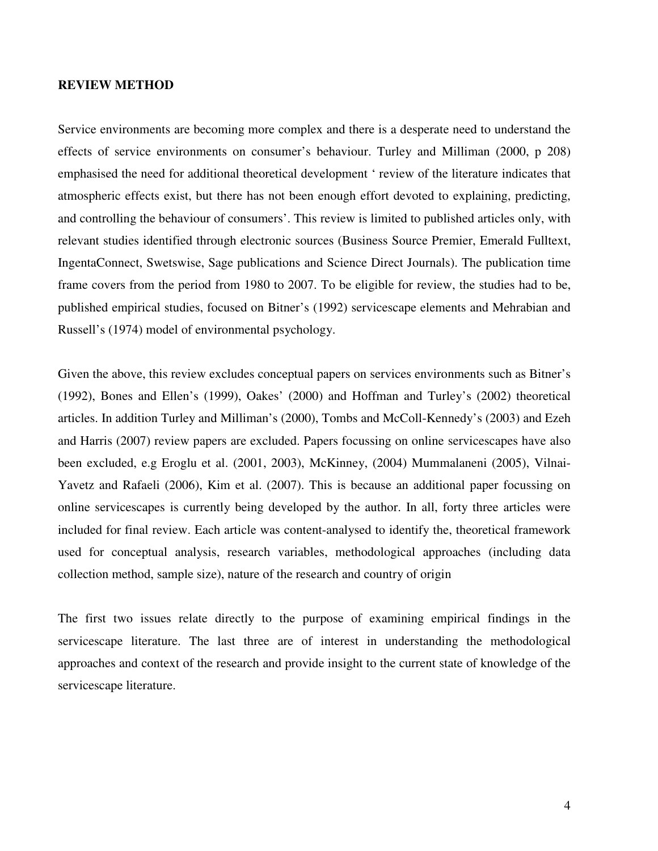#### **REVIEW METHOD**

Service environments are becoming more complex and there is a desperate need to understand the effects of service environments on consumer's behaviour. Turley and Milliman (2000, p 208) emphasised the need for additional theoretical development ' review of the literature indicates that atmospheric effects exist, but there has not been enough effort devoted to explaining, predicting, and controlling the behaviour of consumers'. This review is limited to published articles only, with relevant studies identified through electronic sources (Business Source Premier, Emerald Fulltext, IngentaConnect, Swetswise, Sage publications and Science Direct Journals). The publication time frame covers from the period from 1980 to 2007. To be eligible for review, the studies had to be, published empirical studies, focused on Bitner's (1992) servicescape elements and Mehrabian and Russell's (1974) model of environmental psychology.

Given the above, this review excludes conceptual papers on services environments such as Bitner's (1992), Bones and Ellen's (1999), Oakes' (2000) and Hoffman and Turley's (2002) theoretical articles. In addition Turley and Milliman's (2000), Tombs and McColl-Kennedy's (2003) and Ezeh and Harris (2007) review papers are excluded. Papers focussing on online servicescapes have also been excluded, e.g Eroglu et al. (2001, 2003), McKinney, (2004) Mummalaneni (2005), Vilnai-Yavetz and Rafaeli (2006), Kim et al. (2007). This is because an additional paper focussing on online servicescapes is currently being developed by the author. In all, forty three articles were included for final review. Each article was content-analysed to identify the, theoretical framework used for conceptual analysis, research variables, methodological approaches (including data collection method, sample size), nature of the research and country of origin

The first two issues relate directly to the purpose of examining empirical findings in the servicescape literature. The last three are of interest in understanding the methodological approaches and context of the research and provide insight to the current state of knowledge of the servicescape literature.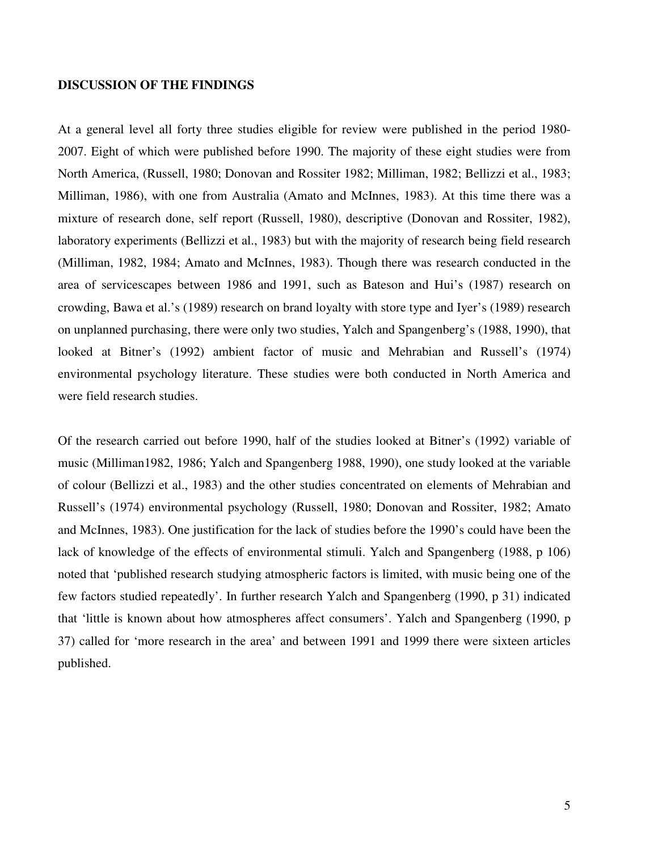#### **DISCUSSION OF THE FINDINGS**

At a general level all forty three studies eligible for review were published in the period 1980- 2007. Eight of which were published before 1990. The majority of these eight studies were from North America, (Russell, 1980; Donovan and Rossiter 1982; Milliman, 1982; Bellizzi et al., 1983; Milliman, 1986), with one from Australia (Amato and McInnes, 1983). At this time there was a mixture of research done, self report (Russell, 1980), descriptive (Donovan and Rossiter, 1982), laboratory experiments (Bellizzi et al., 1983) but with the majority of research being field research (Milliman, 1982, 1984; Amato and McInnes, 1983). Though there was research conducted in the area of servicescapes between 1986 and 1991, such as Bateson and Hui's (1987) research on crowding, Bawa et al.'s (1989) research on brand loyalty with store type and Iyer's (1989) research on unplanned purchasing, there were only two studies, Yalch and Spangenberg's (1988, 1990), that looked at Bitner's (1992) ambient factor of music and Mehrabian and Russell's (1974) environmental psychology literature. These studies were both conducted in North America and were field research studies.

Of the research carried out before 1990, half of the studies looked at Bitner's (1992) variable of music (Milliman1982, 1986; Yalch and Spangenberg 1988, 1990), one study looked at the variable of colour (Bellizzi et al., 1983) and the other studies concentrated on elements of Mehrabian and Russell's (1974) environmental psychology (Russell, 1980; Donovan and Rossiter, 1982; Amato and McInnes, 1983). One justification for the lack of studies before the 1990's could have been the lack of knowledge of the effects of environmental stimuli. Yalch and Spangenberg (1988, p 106) noted that 'published research studying atmospheric factors is limited, with music being one of the few factors studied repeatedly'. In further research Yalch and Spangenberg (1990, p 31) indicated that 'little is known about how atmospheres affect consumers'. Yalch and Spangenberg (1990, p 37) called for 'more research in the area' and between 1991 and 1999 there were sixteen articles published.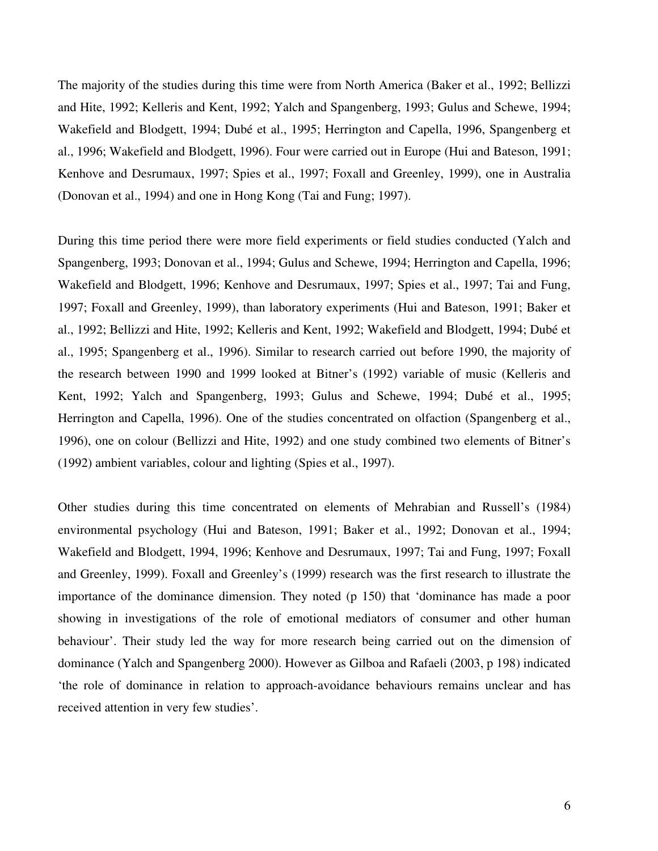The majority of the studies during this time were from North America (Baker et al., 1992; Bellizzi and Hite, 1992; Kelleris and Kent, 1992; Yalch and Spangenberg, 1993; Gulus and Schewe, 1994; Wakefield and Blodgett, 1994; Dubé et al., 1995; Herrington and Capella, 1996, Spangenberg et al., 1996; Wakefield and Blodgett, 1996). Four were carried out in Europe (Hui and Bateson, 1991; Kenhove and Desrumaux, 1997; Spies et al., 1997; Foxall and Greenley, 1999), one in Australia (Donovan et al., 1994) and one in Hong Kong (Tai and Fung; 1997).

During this time period there were more field experiments or field studies conducted (Yalch and Spangenberg, 1993; Donovan et al., 1994; Gulus and Schewe, 1994; Herrington and Capella, 1996; Wakefield and Blodgett, 1996; Kenhove and Desrumaux, 1997; Spies et al., 1997; Tai and Fung, 1997; Foxall and Greenley, 1999), than laboratory experiments (Hui and Bateson, 1991; Baker et al., 1992; Bellizzi and Hite, 1992; Kelleris and Kent, 1992; Wakefield and Blodgett, 1994; Dubé et al., 1995; Spangenberg et al., 1996). Similar to research carried out before 1990, the majority of the research between 1990 and 1999 looked at Bitner's (1992) variable of music (Kelleris and Kent, 1992; Yalch and Spangenberg, 1993; Gulus and Schewe, 1994; Dubé et al., 1995; Herrington and Capella, 1996). One of the studies concentrated on olfaction (Spangenberg et al., 1996), one on colour (Bellizzi and Hite, 1992) and one study combined two elements of Bitner's (1992) ambient variables, colour and lighting (Spies et al., 1997).

Other studies during this time concentrated on elements of Mehrabian and Russell's (1984) environmental psychology (Hui and Bateson, 1991; Baker et al., 1992; Donovan et al., 1994; Wakefield and Blodgett, 1994, 1996; Kenhove and Desrumaux, 1997; Tai and Fung, 1997; Foxall and Greenley, 1999). Foxall and Greenley's (1999) research was the first research to illustrate the importance of the dominance dimension. They noted (p 150) that 'dominance has made a poor showing in investigations of the role of emotional mediators of consumer and other human behaviour'. Their study led the way for more research being carried out on the dimension of dominance (Yalch and Spangenberg 2000). However as Gilboa and Rafaeli (2003, p 198) indicated 'the role of dominance in relation to approach-avoidance behaviours remains unclear and has received attention in very few studies'.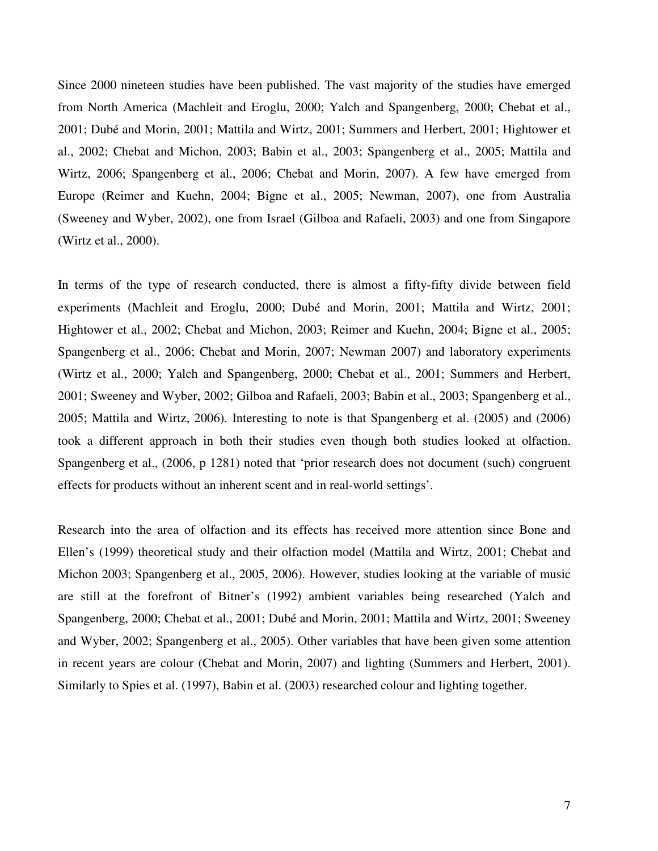Since 2000 nineteen studies have been published. The vast majority of the studies have emerged from North America (Machleit and Eroglu, 2000; Yalch and Spangenberg, 2000; Chebat et al., 2001; Dubé and Morin, 2001; Mattila and Wirtz, 2001; Summers and Herbert, 2001; Hightower et al., 2002; Chebat and Michon, 2003; Babin et al., 2003; Spangenberg et al., 2005; Mattila and Wirtz, 2006; Spangenberg et al., 2006; Chebat and Morin, 2007). A few have emerged from Europe (Reimer and Kuehn, 2004; Bigne et al., 2005; Newman, 2007), one from Australia (Sweeney and Wyber, 2002), one from Israel (Gilboa and Rafaeli, 2003) and one from Singapore (Wirtz et al., 2000).

In terms of the type of research conducted, there is almost a fifty-fifty divide between field experiments (Machleit and Eroglu, 2000; Dubé and Morin, 2001; Mattila and Wirtz, 2001; Hightower et al., 2002; Chebat and Michon, 2003; Reimer and Kuehn, 2004; Bigne et al., 2005; Spangenberg et al., 2006; Chebat and Morin, 2007; Newman 2007) and laboratory experiments (Wirtz et al., 2000; Yalch and Spangenberg, 2000; Chebat et al., 2001; Summers and Herbert, 2001; Sweeney and Wyber, 2002; Gilboa and Rafaeli, 2003; Babin et al., 2003; Spangenberg et al., 2005; Mattila and Wirtz, 2006). Interesting to note is that Spangenberg et al. (2005) and (2006) took a different approach in both their studies even though both studies looked at olfaction. Spangenberg et al., (2006, p 1281) noted that 'prior research does not document (such) congruent effects for products without an inherent scent and in real-world settings'.

Research into the area of olfaction and its effects has received more attention since Bone and Ellen's (1999) theoretical study and their olfaction model (Mattila and Wirtz, 2001; Chebat and Michon 2003; Spangenberg et al., 2005, 2006). However, studies looking at the variable of music are still at the forefront of Bitner's (1992) ambient variables being researched (Yalch and Spangenberg, 2000; Chebat et al., 2001; Dubé and Morin, 2001; Mattila and Wirtz, 2001; Sweeney and Wyber, 2002; Spangenberg et al., 2005). Other variables that have been given some attention in recent years are colour (Chebat and Morin, 2007) and lighting (Summers and Herbert, 2001). Similarly to Spies et al. (1997), Babin et al. (2003) researched colour and lighting together.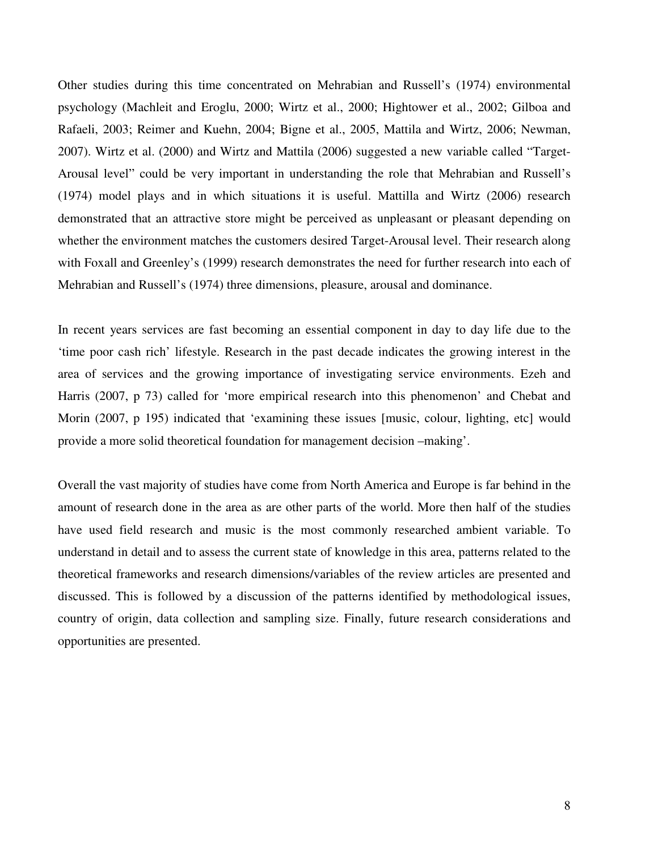Other studies during this time concentrated on Mehrabian and Russell's (1974) environmental psychology (Machleit and Eroglu, 2000; Wirtz et al., 2000; Hightower et al., 2002; Gilboa and Rafaeli, 2003; Reimer and Kuehn, 2004; Bigne et al., 2005, Mattila and Wirtz, 2006; Newman, 2007). Wirtz et al. (2000) and Wirtz and Mattila (2006) suggested a new variable called "Target-Arousal level" could be very important in understanding the role that Mehrabian and Russell's (1974) model plays and in which situations it is useful. Mattilla and Wirtz (2006) research demonstrated that an attractive store might be perceived as unpleasant or pleasant depending on whether the environment matches the customers desired Target-Arousal level. Their research along with Foxall and Greenley's (1999) research demonstrates the need for further research into each of Mehrabian and Russell's (1974) three dimensions, pleasure, arousal and dominance.

In recent years services are fast becoming an essential component in day to day life due to the 'time poor cash rich' lifestyle. Research in the past decade indicates the growing interest in the area of services and the growing importance of investigating service environments. Ezeh and Harris (2007, p 73) called for 'more empirical research into this phenomenon' and Chebat and Morin (2007, p 195) indicated that 'examining these issues [music, colour, lighting, etc] would provide a more solid theoretical foundation for management decision –making'.

Overall the vast majority of studies have come from North America and Europe is far behind in the amount of research done in the area as are other parts of the world. More then half of the studies have used field research and music is the most commonly researched ambient variable. To understand in detail and to assess the current state of knowledge in this area, patterns related to the theoretical frameworks and research dimensions/variables of the review articles are presented and discussed. This is followed by a discussion of the patterns identified by methodological issues, country of origin, data collection and sampling size. Finally, future research considerations and opportunities are presented.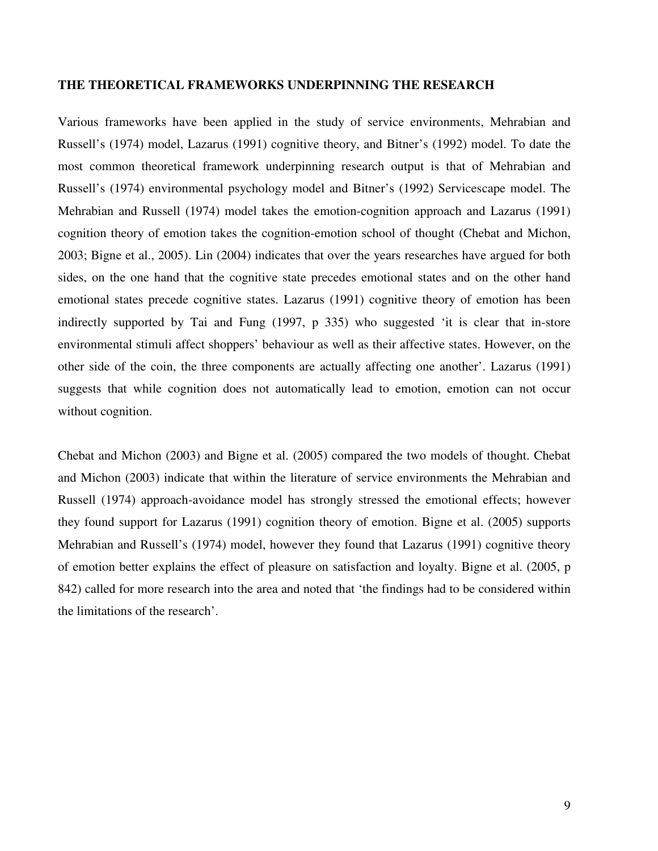#### **THE THEORETICAL FRAMEWORKS UNDERPINNING THE RESEARCH**

Various frameworks have been applied in the study of service environments, Mehrabian and Russell's (1974) model, Lazarus (1991) cognitive theory, and Bitner's (1992) model. To date the most common theoretical framework underpinning research output is that of Mehrabian and Russell's (1974) environmental psychology model and Bitner's (1992) Servicescape model. The Mehrabian and Russell (1974) model takes the emotion-cognition approach and Lazarus (1991) cognition theory of emotion takes the cognition-emotion school of thought (Chebat and Michon, 2003; Bigne et al., 2005). Lin (2004) indicates that over the years researches have argued for both sides, on the one hand that the cognitive state precedes emotional states and on the other hand emotional states precede cognitive states. Lazarus (1991) cognitive theory of emotion has been indirectly supported by Tai and Fung (1997, p 335) who suggested 'it is clear that in-store environmental stimuli affect shoppers' behaviour as well as their affective states. However, on the other side of the coin, the three components are actually affecting one another'. Lazarus (1991) suggests that while cognition does not automatically lead to emotion, emotion can not occur without cognition.

Chebat and Michon (2003) and Bigne et al. (2005) compared the two models of thought. Chebat and Michon (2003) indicate that within the literature of service environments the Mehrabian and Russell (1974) approach-avoidance model has strongly stressed the emotional effects; however they found support for Lazarus (1991) cognition theory of emotion. Bigne et al. (2005) supports Mehrabian and Russell's (1974) model, however they found that Lazarus (1991) cognitive theory of emotion better explains the effect of pleasure on satisfaction and loyalty. Bigne et al. (2005, p 842) called for more research into the area and noted that 'the findings had to be considered within the limitations of the research'.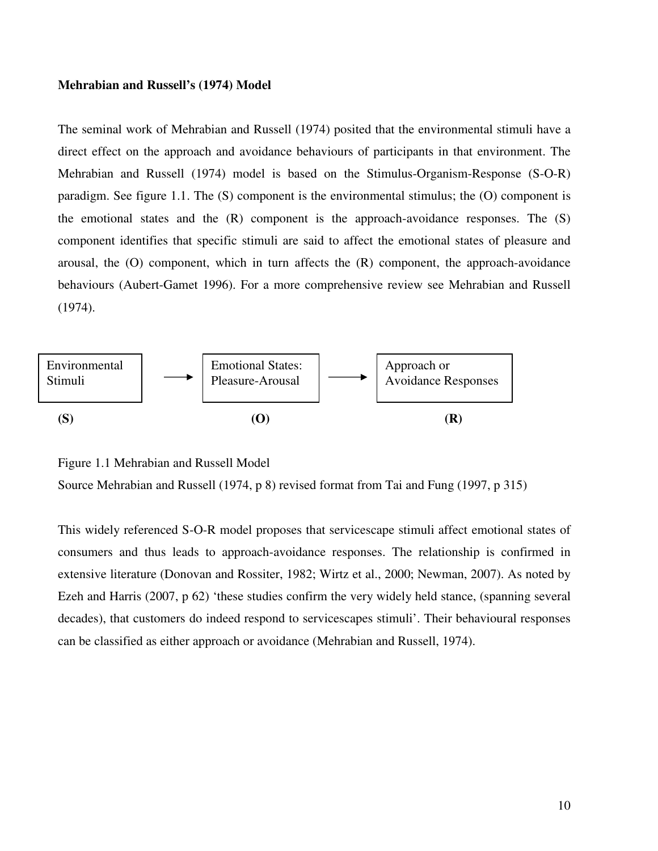#### **Mehrabian and Russell's (1974) Model**

The seminal work of Mehrabian and Russell (1974) posited that the environmental stimuli have a direct effect on the approach and avoidance behaviours of participants in that environment. The Mehrabian and Russell (1974) model is based on the Stimulus-Organism-Response (S-O-R) paradigm. See figure 1.1. The (S) component is the environmental stimulus; the (O) component is the emotional states and the (R) component is the approach-avoidance responses. The (S) component identifies that specific stimuli are said to affect the emotional states of pleasure and arousal, the (O) component, which in turn affects the (R) component, the approach-avoidance behaviours (Aubert-Gamet 1996). For a more comprehensive review see Mehrabian and Russell (1974).



Figure 1.1 Mehrabian and Russell Model

```
Source Mehrabian and Russell (1974, p 8) revised format from Tai and Fung (1997, p 315)
```
This widely referenced S-O-R model proposes that servicescape stimuli affect emotional states of consumers and thus leads to approach-avoidance responses. The relationship is confirmed in extensive literature (Donovan and Rossiter, 1982; Wirtz et al., 2000; Newman, 2007). As noted by Ezeh and Harris (2007, p 62) 'these studies confirm the very widely held stance, (spanning several decades), that customers do indeed respond to servicescapes stimuli'. Their behavioural responses can be classified as either approach or avoidance (Mehrabian and Russell, 1974).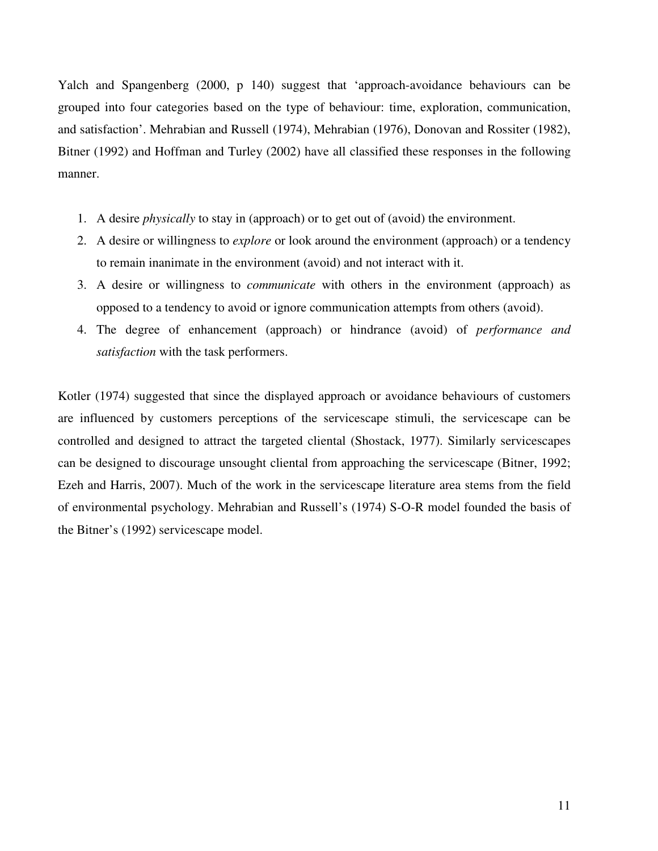Yalch and Spangenberg (2000, p 140) suggest that 'approach-avoidance behaviours can be grouped into four categories based on the type of behaviour: time, exploration, communication, and satisfaction'. Mehrabian and Russell (1974), Mehrabian (1976), Donovan and Rossiter (1982), Bitner (1992) and Hoffman and Turley (2002) have all classified these responses in the following manner.

- 1. A desire *physically* to stay in (approach) or to get out of (avoid) the environment.
- 2. A desire or willingness to *explore* or look around the environment (approach) or a tendency to remain inanimate in the environment (avoid) and not interact with it.
- 3. A desire or willingness to *communicate* with others in the environment (approach) as opposed to a tendency to avoid or ignore communication attempts from others (avoid).
- 4. The degree of enhancement (approach) or hindrance (avoid) of *performance and satisfaction* with the task performers.

Kotler (1974) suggested that since the displayed approach or avoidance behaviours of customers are influenced by customers perceptions of the servicescape stimuli, the servicescape can be controlled and designed to attract the targeted cliental (Shostack, 1977). Similarly servicescapes can be designed to discourage unsought cliental from approaching the servicescape (Bitner, 1992; Ezeh and Harris, 2007). Much of the work in the servicescape literature area stems from the field of environmental psychology. Mehrabian and Russell's (1974) S-O-R model founded the basis of the Bitner's (1992) servicescape model.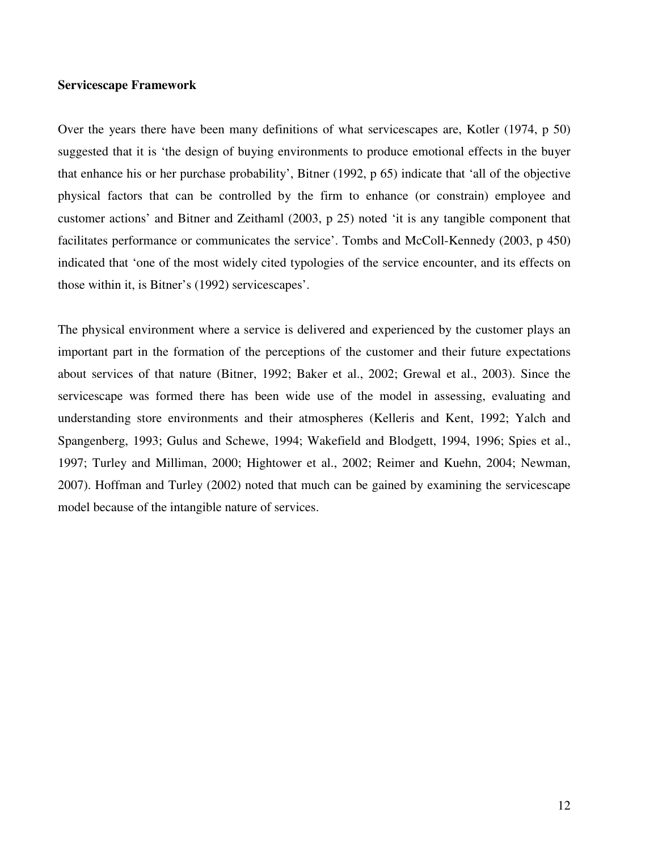#### **Servicescape Framework**

Over the years there have been many definitions of what servicescapes are, Kotler (1974, p 50) suggested that it is 'the design of buying environments to produce emotional effects in the buyer that enhance his or her purchase probability', Bitner (1992, p 65) indicate that 'all of the objective physical factors that can be controlled by the firm to enhance (or constrain) employee and customer actions' and Bitner and Zeithaml (2003, p 25) noted 'it is any tangible component that facilitates performance or communicates the service'. Tombs and McColl-Kennedy (2003, p 450) indicated that 'one of the most widely cited typologies of the service encounter, and its effects on those within it, is Bitner's (1992) servicescapes'.

The physical environment where a service is delivered and experienced by the customer plays an important part in the formation of the perceptions of the customer and their future expectations about services of that nature (Bitner, 1992; Baker et al., 2002; Grewal et al., 2003). Since the servicescape was formed there has been wide use of the model in assessing, evaluating and understanding store environments and their atmospheres (Kelleris and Kent, 1992; Yalch and Spangenberg, 1993; Gulus and Schewe, 1994; Wakefield and Blodgett, 1994, 1996; Spies et al., 1997; Turley and Milliman, 2000; Hightower et al., 2002; Reimer and Kuehn, 2004; Newman, 2007). Hoffman and Turley (2002) noted that much can be gained by examining the servicescape model because of the intangible nature of services.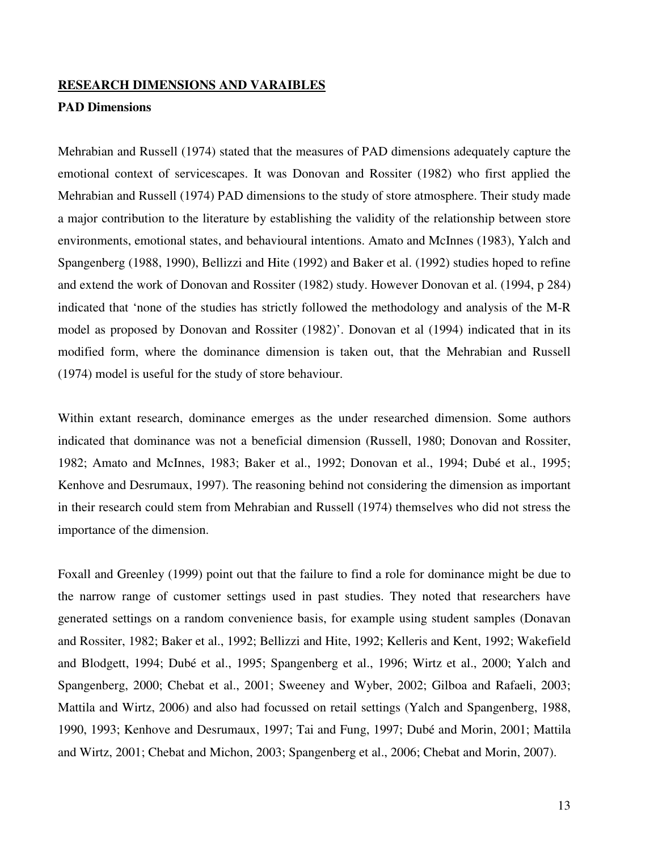#### **RESEARCH DIMENSIONS AND VARAIBLES**

#### **PAD Dimensions**

Mehrabian and Russell (1974) stated that the measures of PAD dimensions adequately capture the emotional context of servicescapes. It was Donovan and Rossiter (1982) who first applied the Mehrabian and Russell (1974) PAD dimensions to the study of store atmosphere. Their study made a major contribution to the literature by establishing the validity of the relationship between store environments, emotional states, and behavioural intentions. Amato and McInnes (1983), Yalch and Spangenberg (1988, 1990), Bellizzi and Hite (1992) and Baker et al. (1992) studies hoped to refine and extend the work of Donovan and Rossiter (1982) study. However Donovan et al. (1994, p 284) indicated that 'none of the studies has strictly followed the methodology and analysis of the M-R model as proposed by Donovan and Rossiter (1982)'. Donovan et al (1994) indicated that in its modified form, where the dominance dimension is taken out, that the Mehrabian and Russell (1974) model is useful for the study of store behaviour.

Within extant research, dominance emerges as the under researched dimension. Some authors indicated that dominance was not a beneficial dimension (Russell, 1980; Donovan and Rossiter, 1982; Amato and McInnes, 1983; Baker et al., 1992; Donovan et al., 1994; Dubé et al., 1995; Kenhove and Desrumaux, 1997). The reasoning behind not considering the dimension as important in their research could stem from Mehrabian and Russell (1974) themselves who did not stress the importance of the dimension.

Foxall and Greenley (1999) point out that the failure to find a role for dominance might be due to the narrow range of customer settings used in past studies. They noted that researchers have generated settings on a random convenience basis, for example using student samples (Donavan and Rossiter, 1982; Baker et al., 1992; Bellizzi and Hite, 1992; Kelleris and Kent, 1992; Wakefield and Blodgett, 1994; Dubé et al., 1995; Spangenberg et al., 1996; Wirtz et al., 2000; Yalch and Spangenberg, 2000; Chebat et al., 2001; Sweeney and Wyber, 2002; Gilboa and Rafaeli, 2003; Mattila and Wirtz, 2006) and also had focussed on retail settings (Yalch and Spangenberg, 1988, 1990, 1993; Kenhove and Desrumaux, 1997; Tai and Fung, 1997; Dubé and Morin, 2001; Mattila and Wirtz, 2001; Chebat and Michon, 2003; Spangenberg et al., 2006; Chebat and Morin, 2007).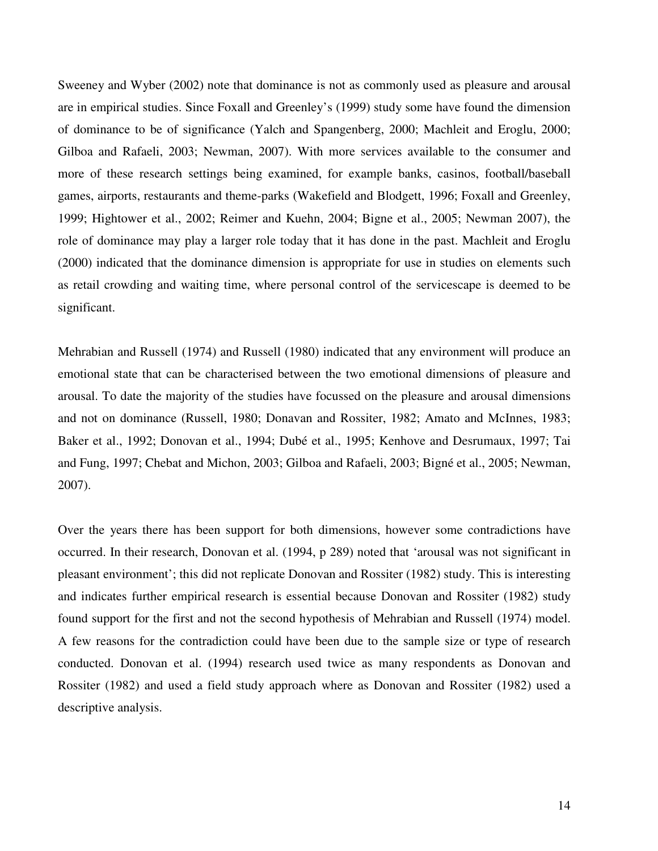Sweeney and Wyber (2002) note that dominance is not as commonly used as pleasure and arousal are in empirical studies. Since Foxall and Greenley's (1999) study some have found the dimension of dominance to be of significance (Yalch and Spangenberg, 2000; Machleit and Eroglu, 2000; Gilboa and Rafaeli, 2003; Newman, 2007). With more services available to the consumer and more of these research settings being examined, for example banks, casinos, football/baseball games, airports, restaurants and theme-parks (Wakefield and Blodgett, 1996; Foxall and Greenley, 1999; Hightower et al., 2002; Reimer and Kuehn, 2004; Bigne et al., 2005; Newman 2007), the role of dominance may play a larger role today that it has done in the past. Machleit and Eroglu (2000) indicated that the dominance dimension is appropriate for use in studies on elements such as retail crowding and waiting time, where personal control of the servicescape is deemed to be significant.

Mehrabian and Russell (1974) and Russell (1980) indicated that any environment will produce an emotional state that can be characterised between the two emotional dimensions of pleasure and arousal. To date the majority of the studies have focussed on the pleasure and arousal dimensions and not on dominance (Russell, 1980; Donavan and Rossiter, 1982; Amato and McInnes, 1983; Baker et al., 1992; Donovan et al., 1994; Dubé et al., 1995; Kenhove and Desrumaux, 1997; Tai and Fung, 1997; Chebat and Michon, 2003; Gilboa and Rafaeli, 2003; Bigné et al., 2005; Newman, 2007).

Over the years there has been support for both dimensions, however some contradictions have occurred. In their research, Donovan et al. (1994, p 289) noted that 'arousal was not significant in pleasant environment'; this did not replicate Donovan and Rossiter (1982) study. This is interesting and indicates further empirical research is essential because Donovan and Rossiter (1982) study found support for the first and not the second hypothesis of Mehrabian and Russell (1974) model. A few reasons for the contradiction could have been due to the sample size or type of research conducted. Donovan et al. (1994) research used twice as many respondents as Donovan and Rossiter (1982) and used a field study approach where as Donovan and Rossiter (1982) used a descriptive analysis.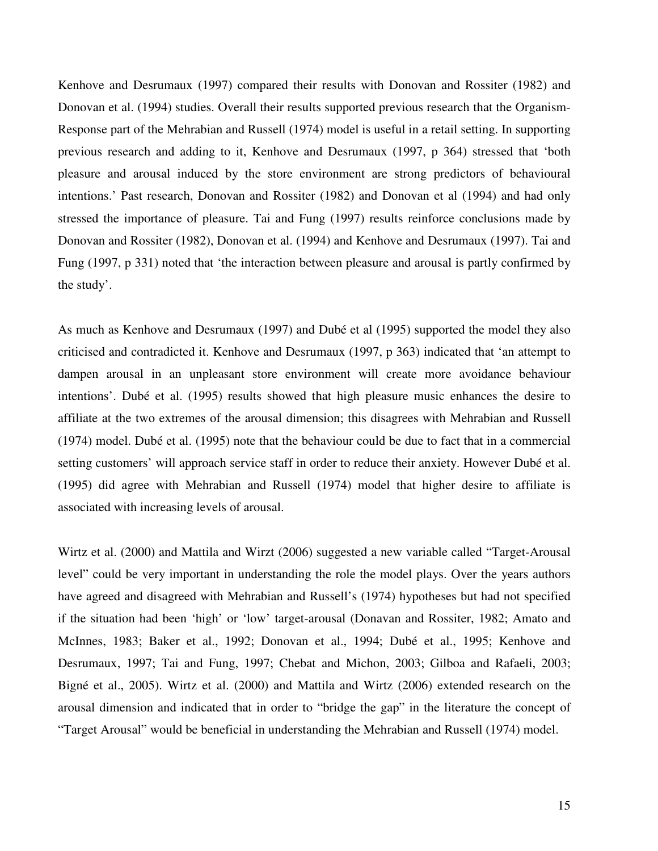Kenhove and Desrumaux (1997) compared their results with Donovan and Rossiter (1982) and Donovan et al. (1994) studies. Overall their results supported previous research that the Organism-Response part of the Mehrabian and Russell (1974) model is useful in a retail setting. In supporting previous research and adding to it, Kenhove and Desrumaux (1997, p 364) stressed that 'both pleasure and arousal induced by the store environment are strong predictors of behavioural intentions.' Past research, Donovan and Rossiter (1982) and Donovan et al (1994) and had only stressed the importance of pleasure. Tai and Fung (1997) results reinforce conclusions made by Donovan and Rossiter (1982), Donovan et al. (1994) and Kenhove and Desrumaux (1997). Tai and Fung (1997, p 331) noted that 'the interaction between pleasure and arousal is partly confirmed by the study'.

As much as Kenhove and Desrumaux (1997) and Dubé et al (1995) supported the model they also criticised and contradicted it. Kenhove and Desrumaux (1997, p 363) indicated that 'an attempt to dampen arousal in an unpleasant store environment will create more avoidance behaviour intentions'. Dubé et al. (1995) results showed that high pleasure music enhances the desire to affiliate at the two extremes of the arousal dimension; this disagrees with Mehrabian and Russell (1974) model. Dubé et al. (1995) note that the behaviour could be due to fact that in a commercial setting customers' will approach service staff in order to reduce their anxiety. However Dubé et al. (1995) did agree with Mehrabian and Russell (1974) model that higher desire to affiliate is associated with increasing levels of arousal.

Wirtz et al. (2000) and Mattila and Wirzt (2006) suggested a new variable called "Target-Arousal level" could be very important in understanding the role the model plays. Over the years authors have agreed and disagreed with Mehrabian and Russell's (1974) hypotheses but had not specified if the situation had been 'high' or 'low' target-arousal (Donavan and Rossiter, 1982; Amato and McInnes, 1983; Baker et al., 1992; Donovan et al., 1994; Dubé et al., 1995; Kenhove and Desrumaux, 1997; Tai and Fung, 1997; Chebat and Michon, 2003; Gilboa and Rafaeli, 2003; Bigné et al., 2005). Wirtz et al. (2000) and Mattila and Wirtz (2006) extended research on the arousal dimension and indicated that in order to "bridge the gap" in the literature the concept of "Target Arousal" would be beneficial in understanding the Mehrabian and Russell (1974) model.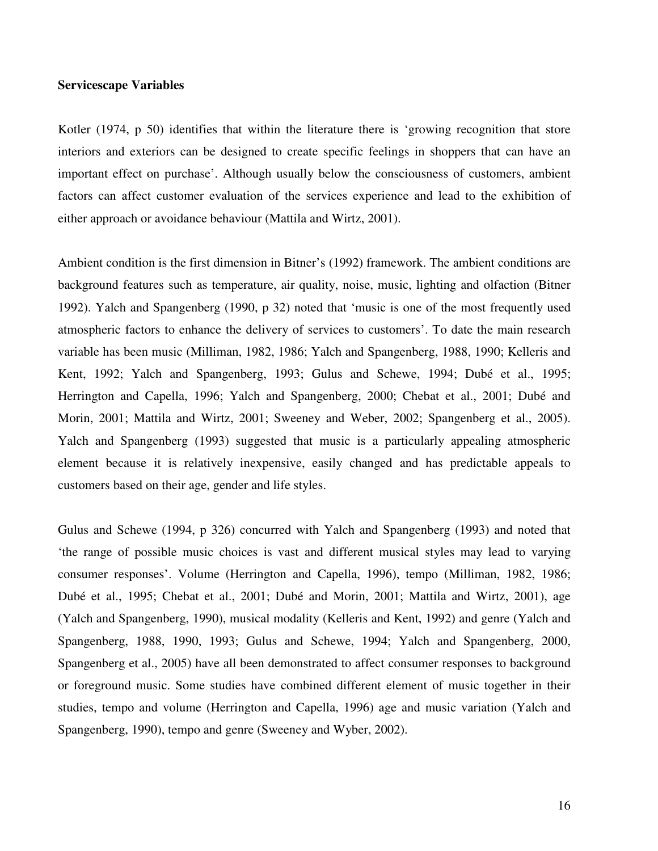#### **Servicescape Variables**

Kotler (1974, p 50) identifies that within the literature there is 'growing recognition that store interiors and exteriors can be designed to create specific feelings in shoppers that can have an important effect on purchase'. Although usually below the consciousness of customers, ambient factors can affect customer evaluation of the services experience and lead to the exhibition of either approach or avoidance behaviour (Mattila and Wirtz, 2001).

Ambient condition is the first dimension in Bitner's (1992) framework. The ambient conditions are background features such as temperature, air quality, noise, music, lighting and olfaction (Bitner 1992). Yalch and Spangenberg (1990, p 32) noted that 'music is one of the most frequently used atmospheric factors to enhance the delivery of services to customers'. To date the main research variable has been music (Milliman, 1982, 1986; Yalch and Spangenberg, 1988, 1990; Kelleris and Kent, 1992; Yalch and Spangenberg, 1993; Gulus and Schewe, 1994; Dubé et al., 1995; Herrington and Capella, 1996; Yalch and Spangenberg, 2000; Chebat et al., 2001; Dubé and Morin, 2001; Mattila and Wirtz, 2001; Sweeney and Weber, 2002; Spangenberg et al., 2005). Yalch and Spangenberg (1993) suggested that music is a particularly appealing atmospheric element because it is relatively inexpensive, easily changed and has predictable appeals to customers based on their age, gender and life styles.

Gulus and Schewe (1994, p 326) concurred with Yalch and Spangenberg (1993) and noted that 'the range of possible music choices is vast and different musical styles may lead to varying consumer responses'. Volume (Herrington and Capella, 1996), tempo (Milliman, 1982, 1986; Dubé et al., 1995; Chebat et al., 2001; Dubé and Morin, 2001; Mattila and Wirtz, 2001), age (Yalch and Spangenberg, 1990), musical modality (Kelleris and Kent, 1992) and genre (Yalch and Spangenberg, 1988, 1990, 1993; Gulus and Schewe, 1994; Yalch and Spangenberg, 2000, Spangenberg et al., 2005) have all been demonstrated to affect consumer responses to background or foreground music. Some studies have combined different element of music together in their studies, tempo and volume (Herrington and Capella, 1996) age and music variation (Yalch and Spangenberg, 1990), tempo and genre (Sweeney and Wyber, 2002).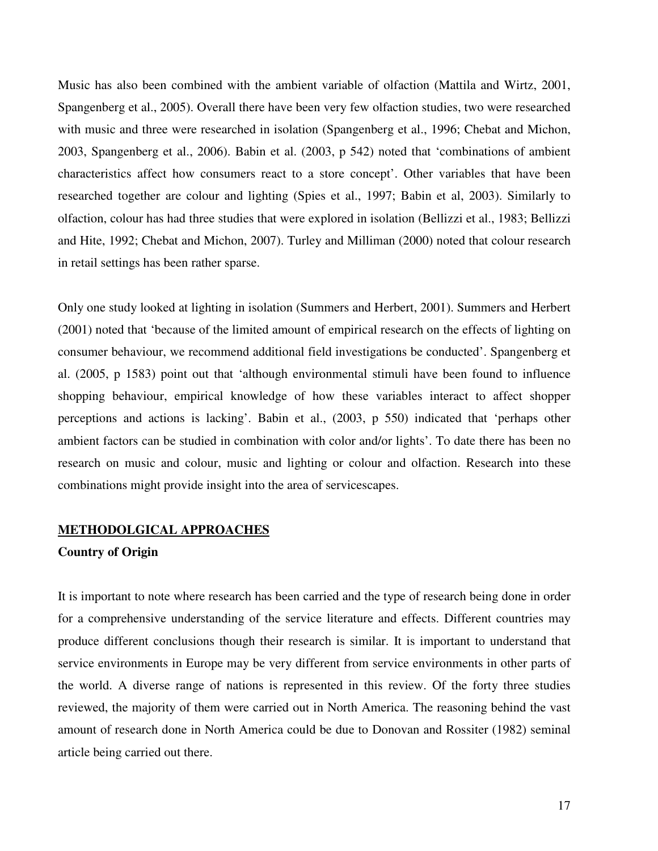Music has also been combined with the ambient variable of olfaction (Mattila and Wirtz, 2001, Spangenberg et al., 2005). Overall there have been very few olfaction studies, two were researched with music and three were researched in isolation (Spangenberg et al., 1996; Chebat and Michon, 2003, Spangenberg et al., 2006). Babin et al. (2003, p 542) noted that 'combinations of ambient characteristics affect how consumers react to a store concept'. Other variables that have been researched together are colour and lighting (Spies et al., 1997; Babin et al, 2003). Similarly to olfaction, colour has had three studies that were explored in isolation (Bellizzi et al., 1983; Bellizzi and Hite, 1992; Chebat and Michon, 2007). Turley and Milliman (2000) noted that colour research in retail settings has been rather sparse.

Only one study looked at lighting in isolation (Summers and Herbert, 2001). Summers and Herbert (2001) noted that 'because of the limited amount of empirical research on the effects of lighting on consumer behaviour, we recommend additional field investigations be conducted'. Spangenberg et al. (2005, p 1583) point out that 'although environmental stimuli have been found to influence shopping behaviour, empirical knowledge of how these variables interact to affect shopper perceptions and actions is lacking'. Babin et al., (2003, p 550) indicated that 'perhaps other ambient factors can be studied in combination with color and/or lights'. To date there has been no research on music and colour, music and lighting or colour and olfaction. Research into these combinations might provide insight into the area of servicescapes.

#### **METHODOLGICAL APPROACHES**

### **Country of Origin**

It is important to note where research has been carried and the type of research being done in order for a comprehensive understanding of the service literature and effects. Different countries may produce different conclusions though their research is similar. It is important to understand that service environments in Europe may be very different from service environments in other parts of the world. A diverse range of nations is represented in this review. Of the forty three studies reviewed, the majority of them were carried out in North America. The reasoning behind the vast amount of research done in North America could be due to Donovan and Rossiter (1982) seminal article being carried out there.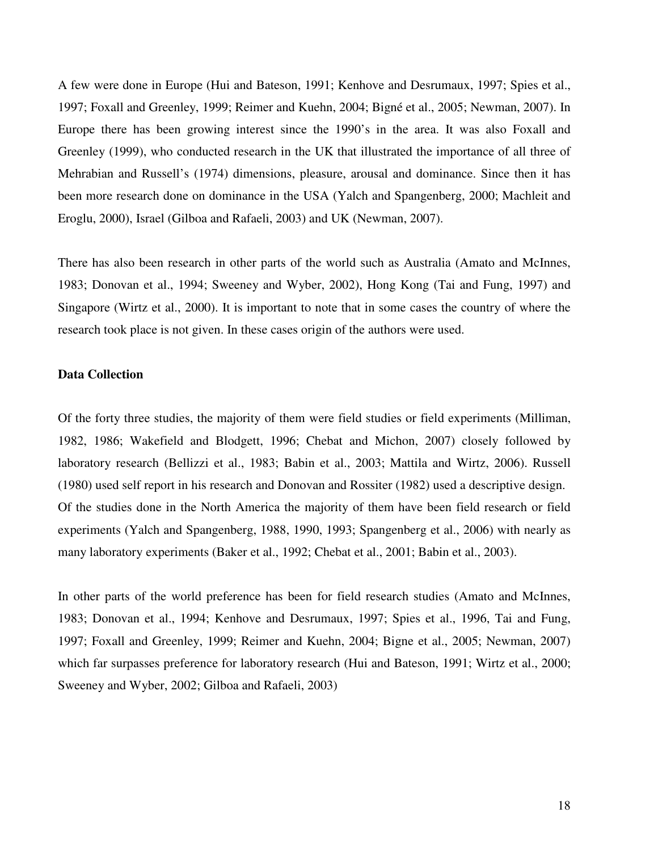A few were done in Europe (Hui and Bateson, 1991; Kenhove and Desrumaux, 1997; Spies et al., 1997; Foxall and Greenley, 1999; Reimer and Kuehn, 2004; Bigné et al., 2005; Newman, 2007). In Europe there has been growing interest since the 1990's in the area. It was also Foxall and Greenley (1999), who conducted research in the UK that illustrated the importance of all three of Mehrabian and Russell's (1974) dimensions, pleasure, arousal and dominance. Since then it has been more research done on dominance in the USA (Yalch and Spangenberg, 2000; Machleit and Eroglu, 2000), Israel (Gilboa and Rafaeli, 2003) and UK (Newman, 2007).

There has also been research in other parts of the world such as Australia (Amato and McInnes, 1983; Donovan et al., 1994; Sweeney and Wyber, 2002), Hong Kong (Tai and Fung, 1997) and Singapore (Wirtz et al., 2000). It is important to note that in some cases the country of where the research took place is not given. In these cases origin of the authors were used.

#### **Data Collection**

Of the forty three studies, the majority of them were field studies or field experiments (Milliman, 1982, 1986; Wakefield and Blodgett, 1996; Chebat and Michon, 2007) closely followed by laboratory research (Bellizzi et al., 1983; Babin et al., 2003; Mattila and Wirtz, 2006). Russell (1980) used self report in his research and Donovan and Rossiter (1982) used a descriptive design. Of the studies done in the North America the majority of them have been field research or field experiments (Yalch and Spangenberg, 1988, 1990, 1993; Spangenberg et al., 2006) with nearly as many laboratory experiments (Baker et al., 1992; Chebat et al., 2001; Babin et al., 2003).

In other parts of the world preference has been for field research studies (Amato and McInnes, 1983; Donovan et al., 1994; Kenhove and Desrumaux, 1997; Spies et al., 1996, Tai and Fung, 1997; Foxall and Greenley, 1999; Reimer and Kuehn, 2004; Bigne et al., 2005; Newman, 2007) which far surpasses preference for laboratory research (Hui and Bateson, 1991; Wirtz et al., 2000; Sweeney and Wyber, 2002; Gilboa and Rafaeli, 2003)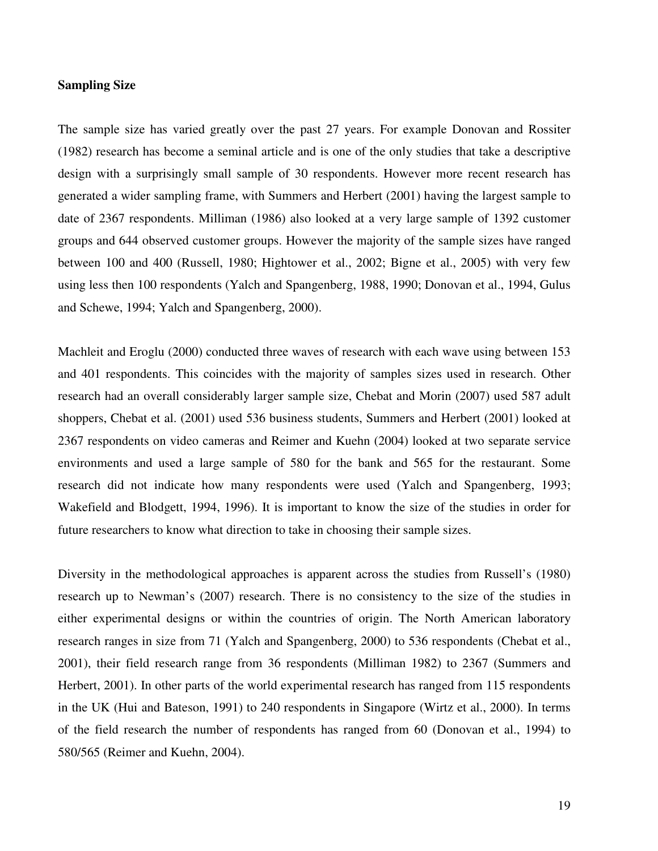#### **Sampling Size**

The sample size has varied greatly over the past 27 years. For example Donovan and Rossiter (1982) research has become a seminal article and is one of the only studies that take a descriptive design with a surprisingly small sample of 30 respondents. However more recent research has generated a wider sampling frame, with Summers and Herbert (2001) having the largest sample to date of 2367 respondents. Milliman (1986) also looked at a very large sample of 1392 customer groups and 644 observed customer groups. However the majority of the sample sizes have ranged between 100 and 400 (Russell, 1980; Hightower et al., 2002; Bigne et al., 2005) with very few using less then 100 respondents (Yalch and Spangenberg, 1988, 1990; Donovan et al., 1994, Gulus and Schewe, 1994; Yalch and Spangenberg, 2000).

Machleit and Eroglu (2000) conducted three waves of research with each wave using between 153 and 401 respondents. This coincides with the majority of samples sizes used in research. Other research had an overall considerably larger sample size, Chebat and Morin (2007) used 587 adult shoppers, Chebat et al. (2001) used 536 business students, Summers and Herbert (2001) looked at 2367 respondents on video cameras and Reimer and Kuehn (2004) looked at two separate service environments and used a large sample of 580 for the bank and 565 for the restaurant. Some research did not indicate how many respondents were used (Yalch and Spangenberg, 1993; Wakefield and Blodgett, 1994, 1996). It is important to know the size of the studies in order for future researchers to know what direction to take in choosing their sample sizes.

Diversity in the methodological approaches is apparent across the studies from Russell's (1980) research up to Newman's (2007) research. There is no consistency to the size of the studies in either experimental designs or within the countries of origin. The North American laboratory research ranges in size from 71 (Yalch and Spangenberg, 2000) to 536 respondents (Chebat et al., 2001), their field research range from 36 respondents (Milliman 1982) to 2367 (Summers and Herbert, 2001). In other parts of the world experimental research has ranged from 115 respondents in the UK (Hui and Bateson, 1991) to 240 respondents in Singapore (Wirtz et al., 2000). In terms of the field research the number of respondents has ranged from 60 (Donovan et al., 1994) to 580/565 (Reimer and Kuehn, 2004).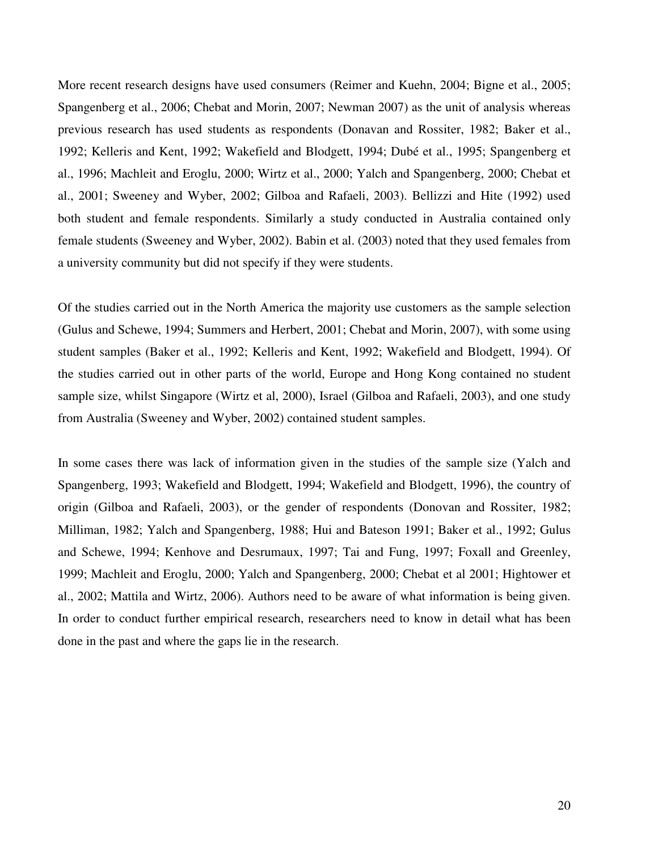More recent research designs have used consumers (Reimer and Kuehn, 2004; Bigne et al., 2005; Spangenberg et al., 2006; Chebat and Morin, 2007; Newman 2007) as the unit of analysis whereas previous research has used students as respondents (Donavan and Rossiter, 1982; Baker et al., 1992; Kelleris and Kent, 1992; Wakefield and Blodgett, 1994; Dubé et al., 1995; Spangenberg et al., 1996; Machleit and Eroglu, 2000; Wirtz et al., 2000; Yalch and Spangenberg, 2000; Chebat et al., 2001; Sweeney and Wyber, 2002; Gilboa and Rafaeli, 2003). Bellizzi and Hite (1992) used both student and female respondents. Similarly a study conducted in Australia contained only female students (Sweeney and Wyber, 2002). Babin et al. (2003) noted that they used females from a university community but did not specify if they were students.

Of the studies carried out in the North America the majority use customers as the sample selection (Gulus and Schewe, 1994; Summers and Herbert, 2001; Chebat and Morin, 2007), with some using student samples (Baker et al., 1992; Kelleris and Kent, 1992; Wakefield and Blodgett, 1994). Of the studies carried out in other parts of the world, Europe and Hong Kong contained no student sample size, whilst Singapore (Wirtz et al, 2000), Israel (Gilboa and Rafaeli, 2003), and one study from Australia (Sweeney and Wyber, 2002) contained student samples.

In some cases there was lack of information given in the studies of the sample size (Yalch and Spangenberg, 1993; Wakefield and Blodgett, 1994; Wakefield and Blodgett, 1996), the country of origin (Gilboa and Rafaeli, 2003), or the gender of respondents (Donovan and Rossiter, 1982; Milliman, 1982; Yalch and Spangenberg, 1988; Hui and Bateson 1991; Baker et al., 1992; Gulus and Schewe, 1994; Kenhove and Desrumaux, 1997; Tai and Fung, 1997; Foxall and Greenley, 1999; Machleit and Eroglu, 2000; Yalch and Spangenberg, 2000; Chebat et al 2001; Hightower et al., 2002; Mattila and Wirtz, 2006). Authors need to be aware of what information is being given. In order to conduct further empirical research, researchers need to know in detail what has been done in the past and where the gaps lie in the research.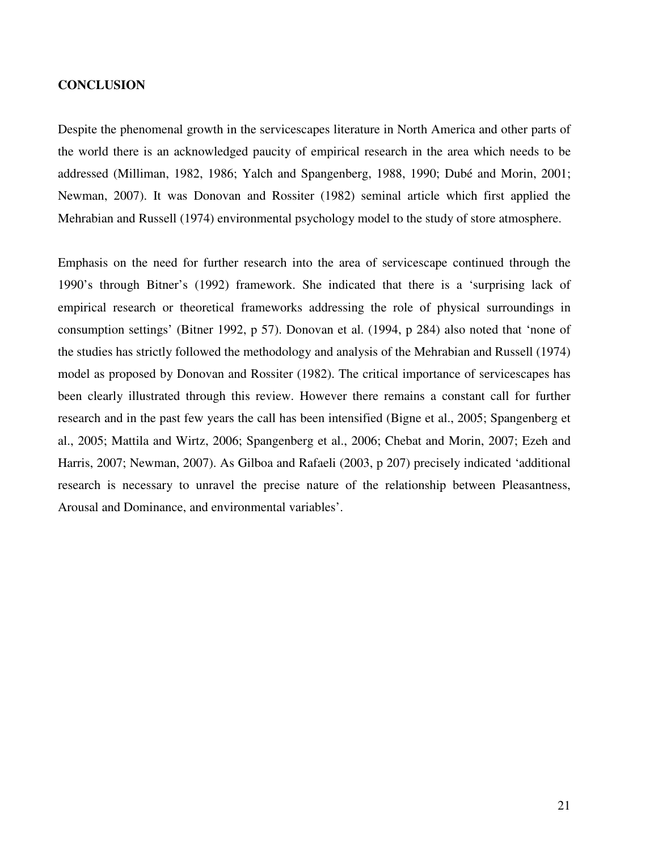### **CONCLUSION**

Despite the phenomenal growth in the servicescapes literature in North America and other parts of the world there is an acknowledged paucity of empirical research in the area which needs to be addressed (Milliman, 1982, 1986; Yalch and Spangenberg, 1988, 1990; Dubé and Morin, 2001; Newman, 2007). It was Donovan and Rossiter (1982) seminal article which first applied the Mehrabian and Russell (1974) environmental psychology model to the study of store atmosphere.

Emphasis on the need for further research into the area of servicescape continued through the 1990's through Bitner's (1992) framework. She indicated that there is a 'surprising lack of empirical research or theoretical frameworks addressing the role of physical surroundings in consumption settings' (Bitner 1992, p 57). Donovan et al. (1994, p 284) also noted that 'none of the studies has strictly followed the methodology and analysis of the Mehrabian and Russell (1974) model as proposed by Donovan and Rossiter (1982). The critical importance of servicescapes has been clearly illustrated through this review. However there remains a constant call for further research and in the past few years the call has been intensified (Bigne et al., 2005; Spangenberg et al., 2005; Mattila and Wirtz, 2006; Spangenberg et al., 2006; Chebat and Morin, 2007; Ezeh and Harris, 2007; Newman, 2007). As Gilboa and Rafaeli (2003, p 207) precisely indicated 'additional research is necessary to unravel the precise nature of the relationship between Pleasantness, Arousal and Dominance, and environmental variables'.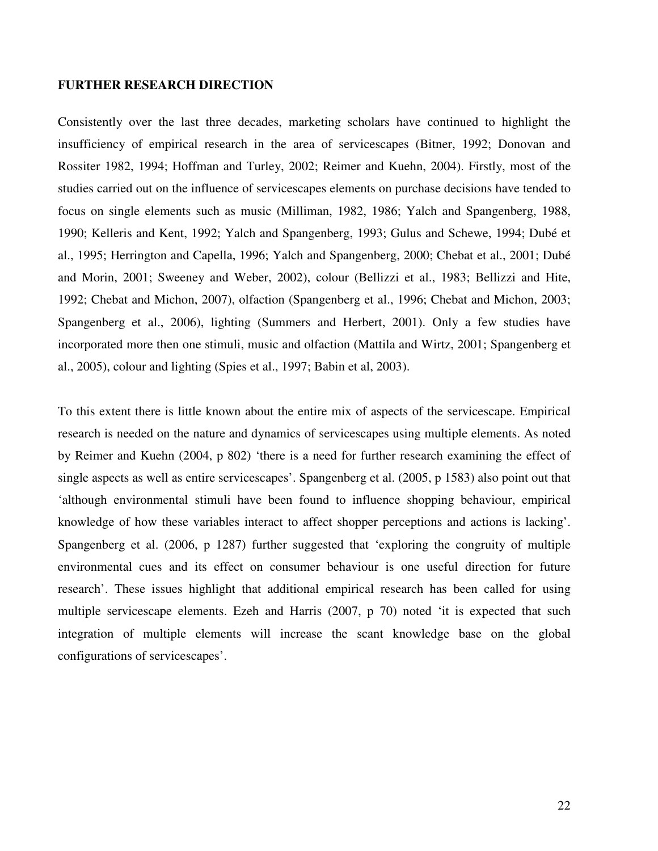#### **FURTHER RESEARCH DIRECTION**

Consistently over the last three decades, marketing scholars have continued to highlight the insufficiency of empirical research in the area of servicescapes (Bitner, 1992; Donovan and Rossiter 1982, 1994; Hoffman and Turley, 2002; Reimer and Kuehn, 2004). Firstly, most of the studies carried out on the influence of servicescapes elements on purchase decisions have tended to focus on single elements such as music (Milliman, 1982, 1986; Yalch and Spangenberg, 1988, 1990; Kelleris and Kent, 1992; Yalch and Spangenberg, 1993; Gulus and Schewe, 1994; Dubé et al., 1995; Herrington and Capella, 1996; Yalch and Spangenberg, 2000; Chebat et al., 2001; Dubé and Morin, 2001; Sweeney and Weber, 2002), colour (Bellizzi et al., 1983; Bellizzi and Hite, 1992; Chebat and Michon, 2007), olfaction (Spangenberg et al., 1996; Chebat and Michon, 2003; Spangenberg et al., 2006), lighting (Summers and Herbert, 2001). Only a few studies have incorporated more then one stimuli, music and olfaction (Mattila and Wirtz, 2001; Spangenberg et al., 2005), colour and lighting (Spies et al., 1997; Babin et al, 2003).

To this extent there is little known about the entire mix of aspects of the servicescape. Empirical research is needed on the nature and dynamics of servicescapes using multiple elements. As noted by Reimer and Kuehn (2004, p 802) 'there is a need for further research examining the effect of single aspects as well as entire servicescapes'. Spangenberg et al. (2005, p 1583) also point out that 'although environmental stimuli have been found to influence shopping behaviour, empirical knowledge of how these variables interact to affect shopper perceptions and actions is lacking'. Spangenberg et al. (2006, p 1287) further suggested that 'exploring the congruity of multiple environmental cues and its effect on consumer behaviour is one useful direction for future research'. These issues highlight that additional empirical research has been called for using multiple servicescape elements. Ezeh and Harris (2007, p 70) noted 'it is expected that such integration of multiple elements will increase the scant knowledge base on the global configurations of servicescapes'.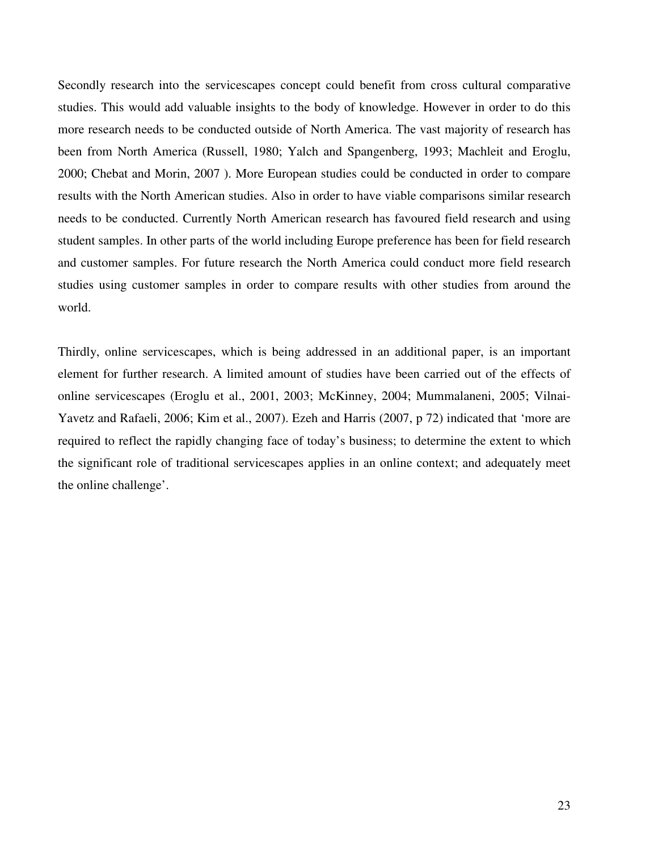Secondly research into the servicescapes concept could benefit from cross cultural comparative studies. This would add valuable insights to the body of knowledge. However in order to do this more research needs to be conducted outside of North America. The vast majority of research has been from North America (Russell, 1980; Yalch and Spangenberg, 1993; Machleit and Eroglu, 2000; Chebat and Morin, 2007 ). More European studies could be conducted in order to compare results with the North American studies. Also in order to have viable comparisons similar research needs to be conducted. Currently North American research has favoured field research and using student samples. In other parts of the world including Europe preference has been for field research and customer samples. For future research the North America could conduct more field research studies using customer samples in order to compare results with other studies from around the world.

Thirdly, online servicescapes, which is being addressed in an additional paper, is an important element for further research. A limited amount of studies have been carried out of the effects of online servicescapes (Eroglu et al., 2001, 2003; McKinney, 2004; Mummalaneni, 2005; Vilnai-Yavetz and Rafaeli, 2006; Kim et al., 2007). Ezeh and Harris (2007, p 72) indicated that 'more are required to reflect the rapidly changing face of today's business; to determine the extent to which the significant role of traditional servicescapes applies in an online context; and adequately meet the online challenge'.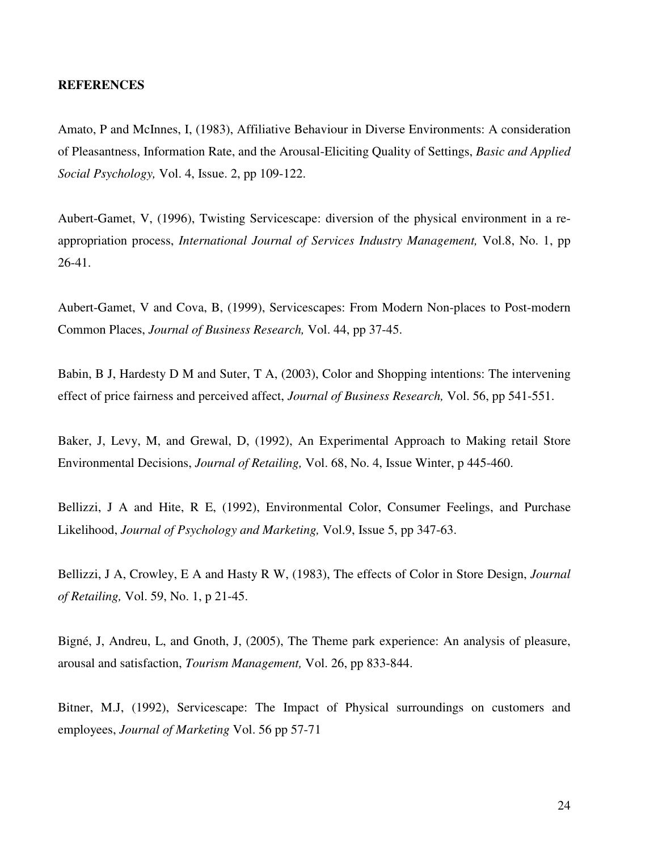#### **REFERENCES**

Amato, P and McInnes, I, (1983), Affiliative Behaviour in Diverse Environments: A consideration of Pleasantness, Information Rate, and the Arousal-Eliciting Quality of Settings, *Basic and Applied Social Psychology,* Vol. 4, Issue. 2, pp 109-122.

Aubert-Gamet, V, (1996), Twisting Servicescape: diversion of the physical environment in a reappropriation process, *International Journal of Services Industry Management,* Vol.8, No. 1, pp 26-41.

Aubert-Gamet, V and Cova, B, (1999), Servicescapes: From Modern Non-places to Post-modern Common Places, *Journal of Business Research,* Vol. 44, pp 37-45.

Babin, B J, Hardesty D M and Suter, T A, (2003), Color and Shopping intentions: The intervening effect of price fairness and perceived affect, *Journal of Business Research,* Vol. 56, pp 541-551.

Baker, J, Levy, M, and Grewal, D, (1992), An Experimental Approach to Making retail Store Environmental Decisions, *Journal of Retailing,* Vol. 68, No. 4, Issue Winter, p 445-460.

Bellizzi, J A and Hite, R E, (1992), Environmental Color, Consumer Feelings, and Purchase Likelihood, *Journal of Psychology and Marketing,* Vol.9, Issue 5, pp 347-63.

Bellizzi, J A, Crowley, E A and Hasty R W, (1983), The effects of Color in Store Design, *Journal of Retailing,* Vol. 59, No. 1, p 21-45.

Bigné, J, Andreu, L, and Gnoth, J, (2005), The Theme park experience: An analysis of pleasure, arousal and satisfaction, *Tourism Management,* Vol. 26, pp 833-844.

Bitner, M.J, (1992), Servicescape: The Impact of Physical surroundings on customers and employees, *Journal of Marketing* Vol. 56 pp 57-71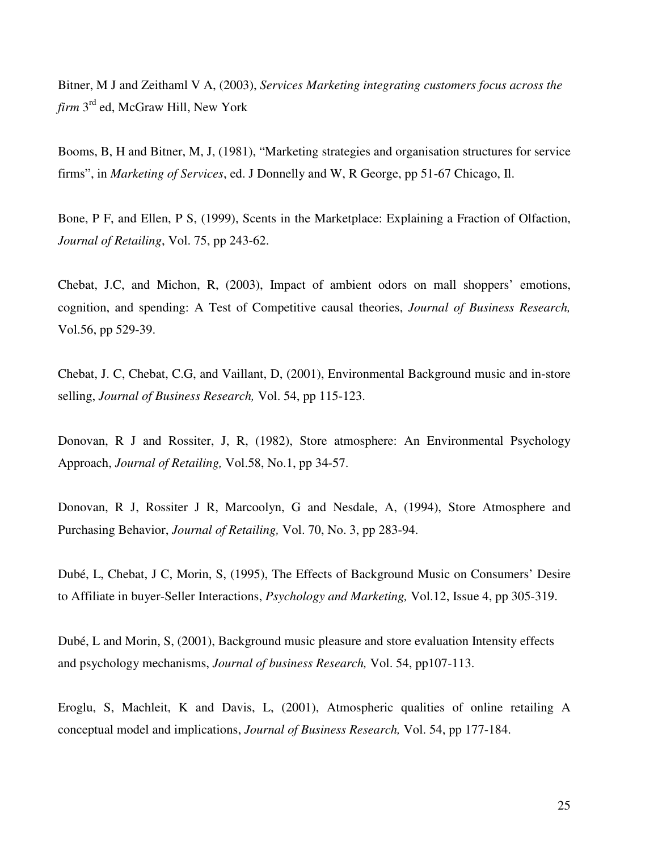Bitner, M J and Zeithaml V A, (2003), *Services Marketing integrating customers focus across the firm* 3rd ed, McGraw Hill, New York

Booms, B, H and Bitner, M, J, (1981), "Marketing strategies and organisation structures for service firms", in *Marketing of Services*, ed. J Donnelly and W, R George, pp 51-67 Chicago, Il.

Bone, P F, and Ellen, P S, (1999), Scents in the Marketplace: Explaining a Fraction of Olfaction, *Journal of Retailing*, Vol. 75, pp 243-62.

Chebat, J.C, and Michon, R, (2003), Impact of ambient odors on mall shoppers' emotions, cognition, and spending: A Test of Competitive causal theories, *Journal of Business Research,*  Vol.56, pp 529-39.

Chebat, J. C, Chebat, C.G, and Vaillant, D, (2001), Environmental Background music and in-store selling, *Journal of Business Research,* Vol. 54, pp 115-123.

Donovan, R J and Rossiter, J, R, (1982), Store atmosphere: An Environmental Psychology Approach, *Journal of Retailing,* Vol.58, No.1, pp 34-57.

Donovan, R J, Rossiter J R, Marcoolyn, G and Nesdale, A, (1994), Store Atmosphere and Purchasing Behavior, *Journal of Retailing,* Vol. 70, No. 3, pp 283-94.

Dubé, L, Chebat, J C, Morin, S, (1995), The Effects of Background Music on Consumers' Desire to Affiliate in buyer-Seller Interactions, *Psychology and Marketing,* Vol.12, Issue 4, pp 305-319.

Dubé, L and Morin, S, (2001), Background music pleasure and store evaluation Intensity effects and psychology mechanisms, *Journal of business Research,* Vol. 54, pp107-113.

Eroglu, S, Machleit, K and Davis, L, (2001), Atmospheric qualities of online retailing A conceptual model and implications, *Journal of Business Research,* Vol. 54, pp 177-184.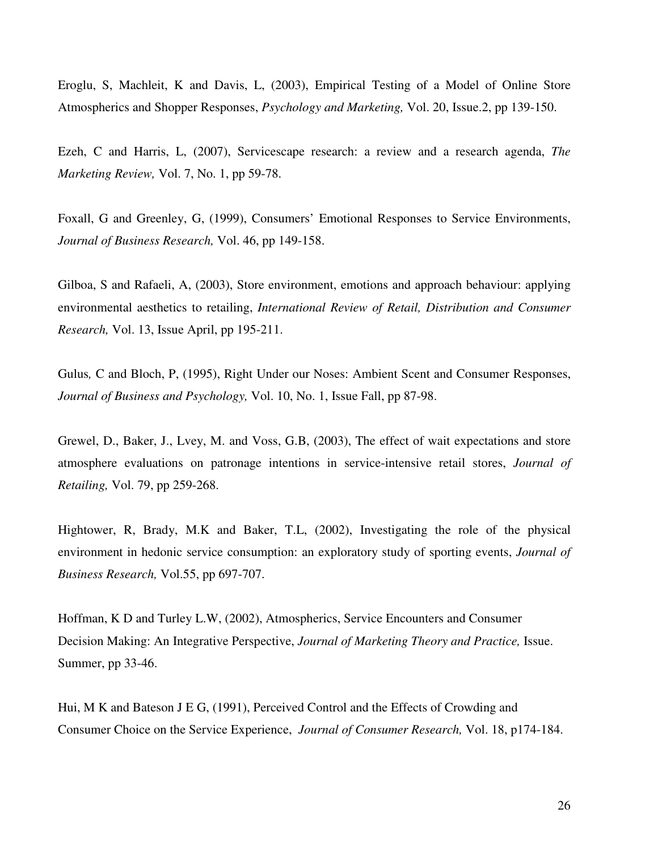Eroglu, S, Machleit, K and Davis, L, (2003), Empirical Testing of a Model of Online Store Atmospherics and Shopper Responses, *Psychology and Marketing,* Vol. 20, Issue.2, pp 139-150.

Ezeh, C and Harris, L, (2007), Servicescape research: a review and a research agenda, *The Marketing Review,* Vol. 7, No. 1, pp 59-78.

Foxall, G and Greenley, G, (1999), Consumers' Emotional Responses to Service Environments, *Journal of Business Research,* Vol. 46, pp 149-158.

Gilboa, S and Rafaeli, A, (2003), Store environment, emotions and approach behaviour: applying environmental aesthetics to retailing, *International Review of Retail, Distribution and Consumer Research,* Vol. 13, Issue April, pp 195-211.

Gulus*,* C and Bloch, P, (1995), Right Under our Noses: Ambient Scent and Consumer Responses, *Journal of Business and Psychology,* Vol. 10, No. 1, Issue Fall, pp 87-98.

Grewel, D., Baker, J., Lvey, M. and Voss, G.B, (2003), The effect of wait expectations and store atmosphere evaluations on patronage intentions in service-intensive retail stores, *Journal of Retailing,* Vol. 79, pp 259-268.

Hightower, R, Brady, M.K and Baker, T.L, (2002), Investigating the role of the physical environment in hedonic service consumption: an exploratory study of sporting events, *Journal of Business Research,* Vol.55, pp 697-707.

Hoffman, K D and Turley L.W, (2002), Atmospherics, Service Encounters and Consumer Decision Making: An Integrative Perspective, *Journal of Marketing Theory and Practice,* Issue. Summer, pp 33-46.

Hui, M K and Bateson J E G, (1991), Perceived Control and the Effects of Crowding and Consumer Choice on the Service Experience, *Journal of Consumer Research,* Vol. 18, p174-184.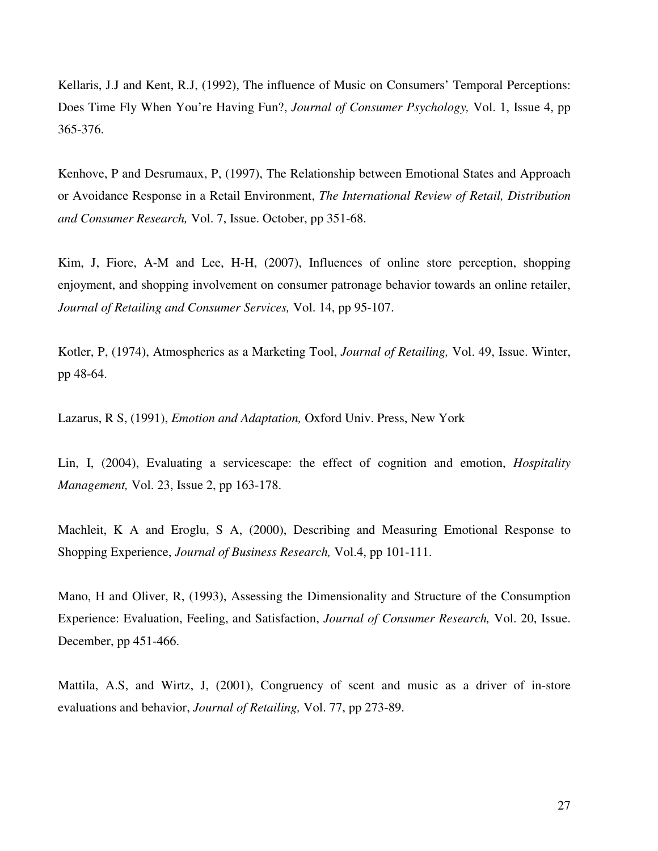Kellaris, J.J and Kent, R.J, (1992), The influence of Music on Consumers' Temporal Perceptions: Does Time Fly When You're Having Fun?, *Journal of Consumer Psychology,* Vol. 1, Issue 4, pp 365-376.

Kenhove, P and Desrumaux, P, (1997), The Relationship between Emotional States and Approach or Avoidance Response in a Retail Environment, *The International Review of Retail, Distribution and Consumer Research,* Vol. 7, Issue. October, pp 351-68.

Kim, J, Fiore, A-M and Lee, H-H, (2007), Influences of online store perception, shopping enjoyment, and shopping involvement on consumer patronage behavior towards an online retailer, *Journal of Retailing and Consumer Services,* Vol. 14, pp 95-107.

Kotler, P, (1974), Atmospherics as a Marketing Tool, *Journal of Retailing,* Vol. 49, Issue. Winter, pp 48-64.

Lazarus, R S, (1991), *Emotion and Adaptation,* Oxford Univ. Press, New York

Lin, I, (2004), Evaluating a servicescape: the effect of cognition and emotion, *Hospitality Management,* Vol. 23, Issue 2, pp 163-178.

Machleit, K A and Eroglu, S A, (2000), Describing and Measuring Emotional Response to Shopping Experience, *Journal of Business Research,* Vol.4, pp 101-111.

Mano, H and Oliver, R, (1993), Assessing the Dimensionality and Structure of the Consumption Experience: Evaluation, Feeling, and Satisfaction, *Journal of Consumer Research,* Vol. 20, Issue. December, pp 451-466.

Mattila, A.S, and Wirtz, J, (2001), Congruency of scent and music as a driver of in-store evaluations and behavior, *Journal of Retailing,* Vol. 77, pp 273-89.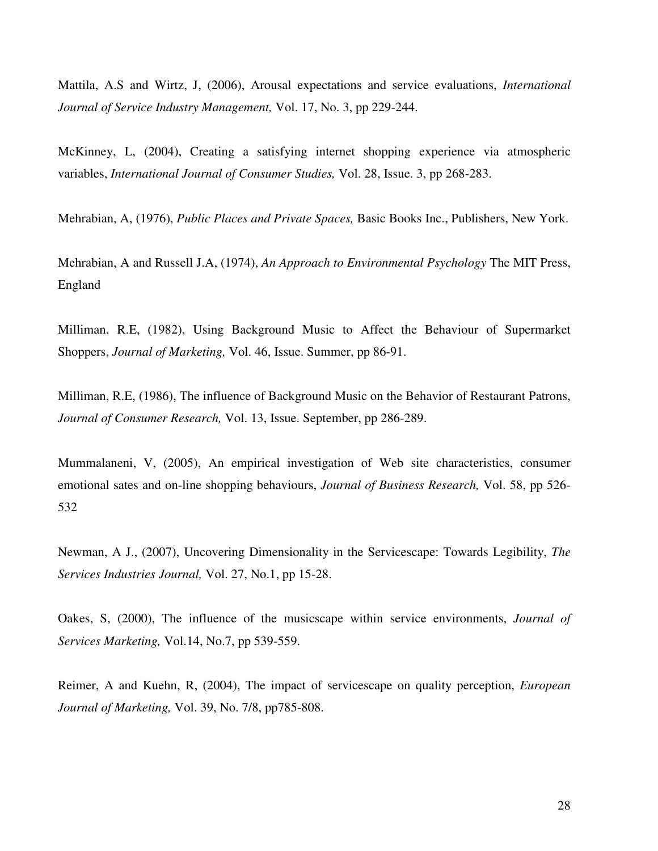Mattila, A.S and Wirtz, J, (2006), Arousal expectations and service evaluations, *International Journal of Service Industry Management,* Vol. 17, No. 3, pp 229-244.

McKinney, L, (2004), Creating a satisfying internet shopping experience via atmospheric variables, *International Journal of Consumer Studies,* Vol. 28, Issue. 3, pp 268-283.

Mehrabian, A, (1976), *Public Places and Private Spaces,* Basic Books Inc., Publishers, New York.

Mehrabian, A and Russell J.A, (1974), *An Approach to Environmental Psychology* The MIT Press, England

Milliman, R.E, (1982), Using Background Music to Affect the Behaviour of Supermarket Shoppers, *Journal of Marketing,* Vol. 46, Issue. Summer, pp 86-91.

Milliman, R.E, (1986), The influence of Background Music on the Behavior of Restaurant Patrons, *Journal of Consumer Research,* Vol. 13, Issue. September, pp 286-289.

Mummalaneni, V, (2005), An empirical investigation of Web site characteristics, consumer emotional sates and on-line shopping behaviours, *Journal of Business Research,* Vol. 58, pp 526- 532

Newman, A J., (2007), Uncovering Dimensionality in the Servicescape: Towards Legibility, *The Services Industries Journal,* Vol. 27, No.1, pp 15-28.

Oakes, S, (2000), The influence of the musicscape within service environments, *Journal of Services Marketing,* Vol.14, No.7, pp 539-559.

Reimer, A and Kuehn, R, (2004), The impact of servicescape on quality perception, *European Journal of Marketing,* Vol. 39, No. 7/8, pp785-808.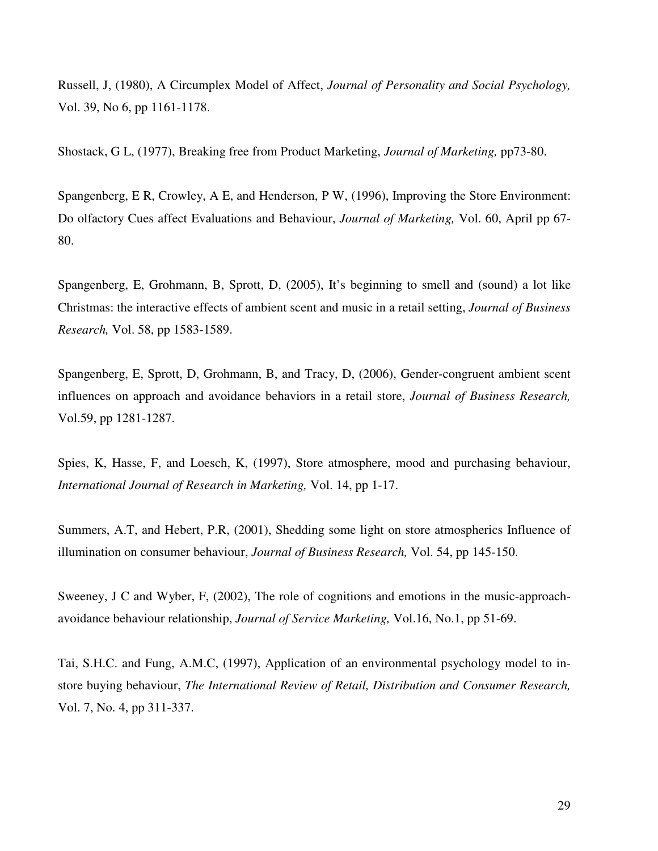Russell, J, (1980), A Circumplex Model of Affect, *Journal of Personality and Social Psychology,*  Vol. 39, No 6, pp 1161-1178.

Shostack, G L, (1977), Breaking free from Product Marketing, *Journal of Marketing,* pp73-80.

Spangenberg, E R, Crowley, A E, and Henderson, P W, (1996), Improving the Store Environment: Do olfactory Cues affect Evaluations and Behaviour, *Journal of Marketing,* Vol. 60, April pp 67- 80.

Spangenberg, E, Grohmann, B, Sprott, D, (2005), It's beginning to smell and (sound) a lot like Christmas: the interactive effects of ambient scent and music in a retail setting, *Journal of Business Research,* Vol. 58, pp 1583-1589.

Spangenberg, E, Sprott, D, Grohmann, B, and Tracy, D, (2006), Gender-congruent ambient scent influences on approach and avoidance behaviors in a retail store, *Journal of Business Research,* Vol.59, pp 1281-1287.

Spies, K, Hasse, F, and Loesch, K, (1997), Store atmosphere, mood and purchasing behaviour, *International Journal of Research in Marketing,* Vol. 14, pp 1-17.

Summers, A.T, and Hebert, P.R, (2001), Shedding some light on store atmospherics Influence of illumination on consumer behaviour, *Journal of Business Research,* Vol. 54, pp 145-150.

Sweeney, J C and Wyber, F, (2002), The role of cognitions and emotions in the music-approachavoidance behaviour relationship, *Journal of Service Marketing,* Vol.16, No.1, pp 51-69.

Tai, S.H.C. and Fung, A.M.C, (1997), Application of an environmental psychology model to instore buying behaviour, *The International Review of Retail, Distribution and Consumer Research,*  Vol. 7, No. 4, pp 311-337.